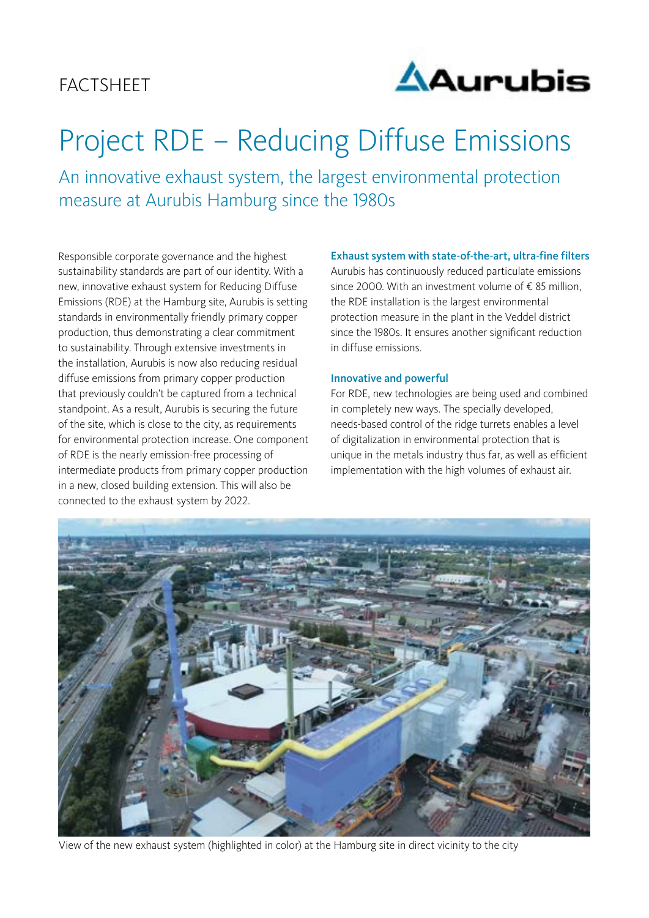# **FACTSHEET**



# Project RDE – Reducing Diffuse Emissions

An innovative exhaust system, the largest environmental protection measure at Aurubis Hamburg since the 1980s

Responsible corporate governance and the highest sustainability standards are part of our identity. With a new, innovative exhaust system for Reducing Diffuse Emissions (RDE) at the Hamburg site, Aurubis is setting standards in environmentally friendly primary copper production, thus demonstrating a clear commitment to sustainability. Through extensive investments in the installation, Aurubis is now also reducing residual diffuse emissions from primary copper production that previously couldn't be captured from a technical standpoint. As a result, Aurubis is securing the future of the site, which is close to the city, as requirements for environmental protection increase. One component of RDE is the nearly emission-free processing of intermediate products from primary copper production in a new, closed building extension. This will also be connected to the exhaust system by 2022.

# Exhaust system with state-of-the-art, ultra-fine filters

Aurubis has continuously reduced particulate emissions since 2000. With an investment volume of € 85 million, the RDE installation is the largest environmental protection measure in the plant in the Veddel district since the 1980s. It ensures another significant reduction in diffuse emissions.

#### Innovative and powerful

For RDE, new technologies are being used and combined in completely new ways. The specially developed, needs-based control of the ridge turrets enables a level of digitalization in environmental protection that is unique in the metals industry thus far, as well as efficient implementation with the high volumes of exhaust air.



View of the new exhaust system (highlighted in color) at the Hamburg site in direct vicinity to the city